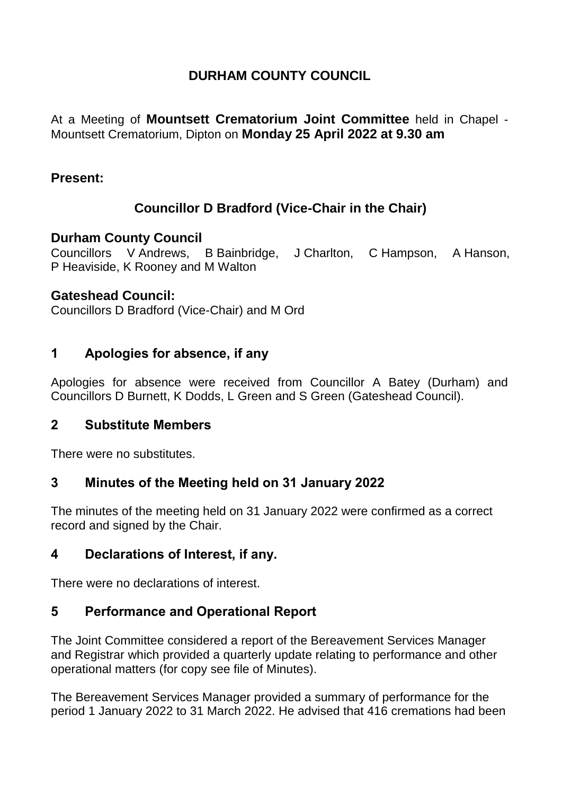## **DURHAM COUNTY COUNCIL**

At a Meeting of **Mountsett Crematorium Joint Committee** held in Chapel - Mountsett Crematorium, Dipton on **Monday 25 April 2022 at 9.30 am**

### **Present:**

# **Councillor D Bradford (Vice-Chair in the Chair)**

#### **Durham County Council**

Councillors V Andrews, B Bainbridge, J Charlton, C Hampson, A Hanson, P Heaviside, K Rooney and M Walton

#### **Gateshead Council:**

Councillors D Bradford (Vice-Chair) and M Ord

## **1 Apologies for absence, if any**

Apologies for absence were received from Councillor A Batey (Durham) and Councillors D Burnett, K Dodds, L Green and S Green (Gateshead Council).

## **2 Substitute Members**

There were no substitutes.

## **3 Minutes of the Meeting held on 31 January 2022**

The minutes of the meeting held on 31 January 2022 were confirmed as a correct record and signed by the Chair.

# **4 Declarations of Interest, if any.**

There were no declarations of interest.

## **5 Performance and Operational Report**

The Joint Committee considered a report of the Bereavement Services Manager and Registrar which provided a quarterly update relating to performance and other operational matters (for copy see file of Minutes).

The Bereavement Services Manager provided a summary of performance for the period 1 January 2022 to 31 March 2022. He advised that 416 cremations had been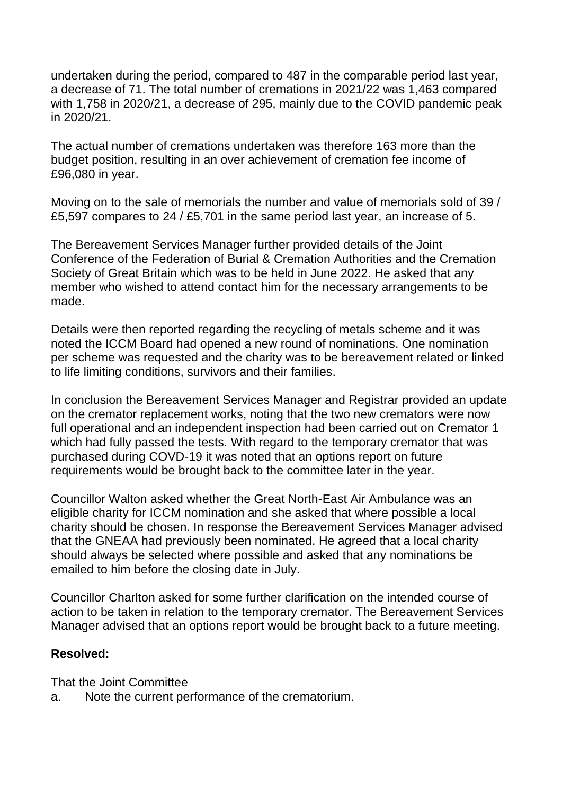undertaken during the period, compared to 487 in the comparable period last year, a decrease of 71. The total number of cremations in 2021/22 was 1,463 compared with 1,758 in 2020/21, a decrease of 295, mainly due to the COVID pandemic peak in 2020/21.

The actual number of cremations undertaken was therefore 163 more than the budget position, resulting in an over achievement of cremation fee income of £96,080 in year.

Moving on to the sale of memorials the number and value of memorials sold of 39 / £5,597 compares to 24 / £5,701 in the same period last year, an increase of 5.

The Bereavement Services Manager further provided details of the Joint Conference of the Federation of Burial & Cremation Authorities and the Cremation Society of Great Britain which was to be held in June 2022. He asked that any member who wished to attend contact him for the necessary arrangements to be made.

Details were then reported regarding the recycling of metals scheme and it was noted the ICCM Board had opened a new round of nominations. One nomination per scheme was requested and the charity was to be bereavement related or linked to life limiting conditions, survivors and their families.

In conclusion the Bereavement Services Manager and Registrar provided an update on the cremator replacement works, noting that the two new cremators were now full operational and an independent inspection had been carried out on Cremator 1 which had fully passed the tests. With regard to the temporary cremator that was purchased during COVD-19 it was noted that an options report on future requirements would be brought back to the committee later in the year.

Councillor Walton asked whether the Great North-East Air Ambulance was an eligible charity for ICCM nomination and she asked that where possible a local charity should be chosen. In response the Bereavement Services Manager advised that the GNEAA had previously been nominated. He agreed that a local charity should always be selected where possible and asked that any nominations be emailed to him before the closing date in July.

Councillor Charlton asked for some further clarification on the intended course of action to be taken in relation to the temporary cremator. The Bereavement Services Manager advised that an options report would be brought back to a future meeting.

#### **Resolved:**

That the Joint Committee

a. Note the current performance of the crematorium.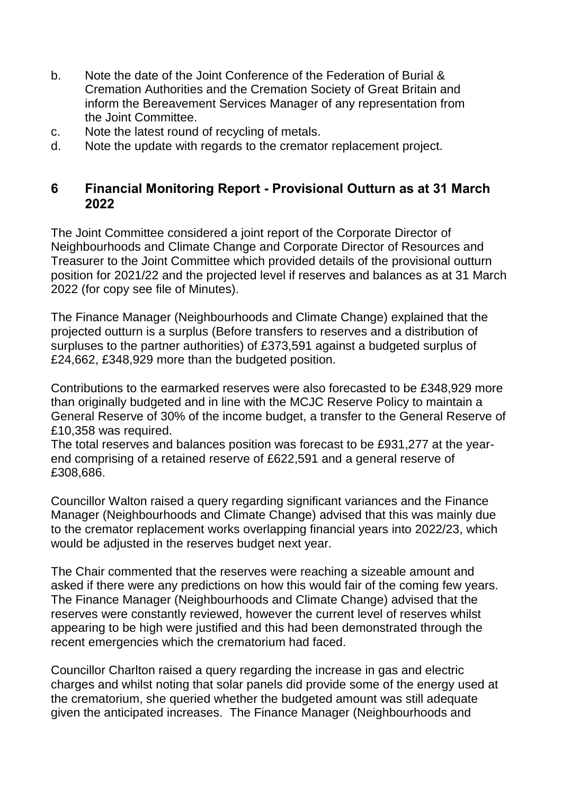- b. Note the date of the Joint Conference of the Federation of Burial & Cremation Authorities and the Cremation Society of Great Britain and inform the Bereavement Services Manager of any representation from the Joint Committee.
- c. Note the latest round of recycling of metals.
- d. Note the update with regards to the cremator replacement project.

### **6 Financial Monitoring Report - Provisional Outturn as at 31 March 2022**

The Joint Committee considered a joint report of the Corporate Director of Neighbourhoods and Climate Change and Corporate Director of Resources and Treasurer to the Joint Committee which provided details of the provisional outturn position for 2021/22 and the projected level if reserves and balances as at 31 March 2022 (for copy see file of Minutes).

The Finance Manager (Neighbourhoods and Climate Change) explained that the projected outturn is a surplus (Before transfers to reserves and a distribution of surpluses to the partner authorities) of £373,591 against a budgeted surplus of £24,662, £348,929 more than the budgeted position.

Contributions to the earmarked reserves were also forecasted to be £348,929 more than originally budgeted and in line with the MCJC Reserve Policy to maintain a General Reserve of 30% of the income budget, a transfer to the General Reserve of £10,358 was required.

The total reserves and balances position was forecast to be £931,277 at the yearend comprising of a retained reserve of £622,591 and a general reserve of £308,686.

Councillor Walton raised a query regarding significant variances and the Finance Manager (Neighbourhoods and Climate Change) advised that this was mainly due to the cremator replacement works overlapping financial years into 2022/23, which would be adjusted in the reserves budget next year.

The Chair commented that the reserves were reaching a sizeable amount and asked if there were any predictions on how this would fair of the coming few years. The Finance Manager (Neighbourhoods and Climate Change) advised that the reserves were constantly reviewed, however the current level of reserves whilst appearing to be high were justified and this had been demonstrated through the recent emergencies which the crematorium had faced.

Councillor Charlton raised a query regarding the increase in gas and electric charges and whilst noting that solar panels did provide some of the energy used at the crematorium, she queried whether the budgeted amount was still adequate given the anticipated increases. The Finance Manager (Neighbourhoods and